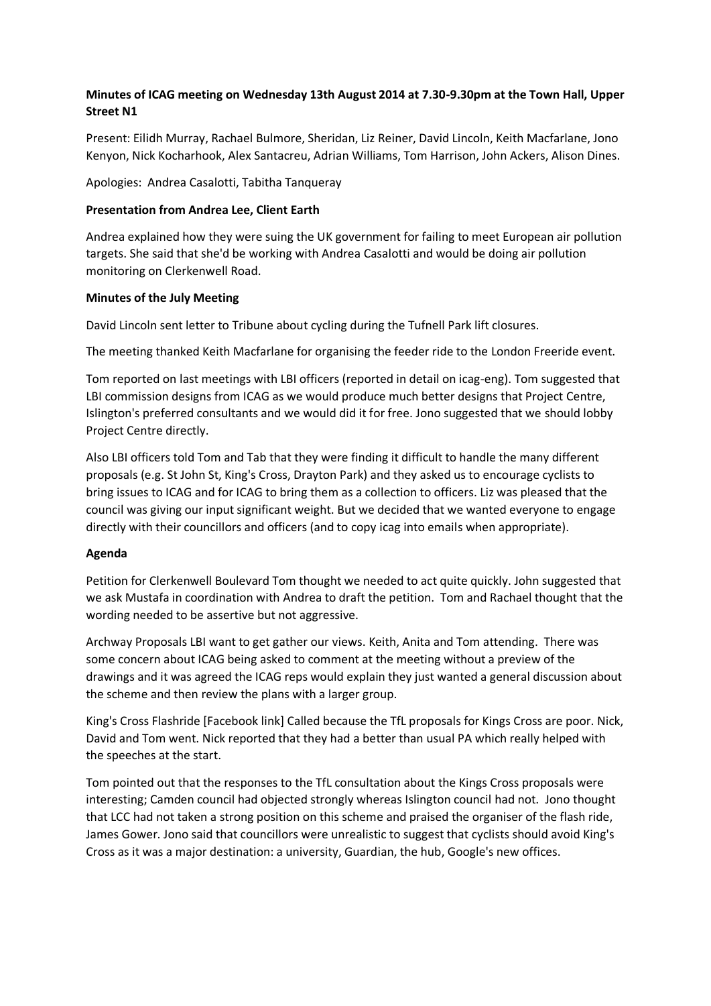# **Minutes of ICAG meeting on Wednesday 13th August 2014 at 7.30-9.30pm at the Town Hall, Upper Street N1**

Present: Eilidh Murray, Rachael Bulmore, Sheridan, Liz Reiner, David Lincoln, Keith Macfarlane, Jono Kenyon, Nick Kocharhook, Alex Santacreu, Adrian Williams, Tom Harrison, John Ackers, Alison Dines.

Apologies: Andrea Casalotti, Tabitha Tanqueray

## **Presentation from Andrea Lee, Client Earth**

Andrea explained how they were suing the UK government for failing to meet European air pollution targets. She said that she'd be working with Andrea Casalotti and would be doing air pollution monitoring on Clerkenwell Road.

## **Minutes of the July Meeting**

David Lincoln sent letter to Tribune about cycling during the Tufnell Park lift closures.

The meeting thanked Keith Macfarlane for organising the feeder ride to the London Freeride event.

Tom reported on last meetings with LBI officers (reported in detail on icag-eng). Tom suggested that LBI commission designs from ICAG as we would produce much better designs that Project Centre, Islington's preferred consultants and we would did it for free. Jono suggested that we should lobby Project Centre directly.

Also LBI officers told Tom and Tab that they were finding it difficult to handle the many different proposals (e.g. St John St, King's Cross, Drayton Park) and they asked us to encourage cyclists to bring issues to ICAG and for ICAG to bring them as a collection to officers. Liz was pleased that the council was giving our input significant weight. But we decided that we wanted everyone to engage directly with their councillors and officers (and to copy icag into emails when appropriate).

### **Agenda**

Petition for Clerkenwell Boulevard Tom thought we needed to act quite quickly. John suggested that we ask Mustafa in coordination with Andrea to draft the petition. Tom and Rachael thought that the wording needed to be assertive but not aggressive.

Archway Proposals LBI want to get gather our views. Keith, Anita and Tom attending. There was some concern about ICAG being asked to comment at the meeting without a preview of the drawings and it was agreed the ICAG reps would explain they just wanted a general discussion about the scheme and then review the plans with a larger group.

King's Cross Flashride [Facebook link] Called because the TfL proposals for Kings Cross are poor. Nick, David and Tom went. Nick reported that they had a better than usual PA which really helped with the speeches at the start.

Tom pointed out that the responses to the TfL consultation about the Kings Cross proposals were interesting; Camden council had objected strongly whereas Islington council had not. Jono thought that LCC had not taken a strong position on this scheme and praised the organiser of the flash ride, James Gower. Jono said that councillors were unrealistic to suggest that cyclists should avoid King's Cross as it was a major destination: a university, Guardian, the hub, Google's new offices.